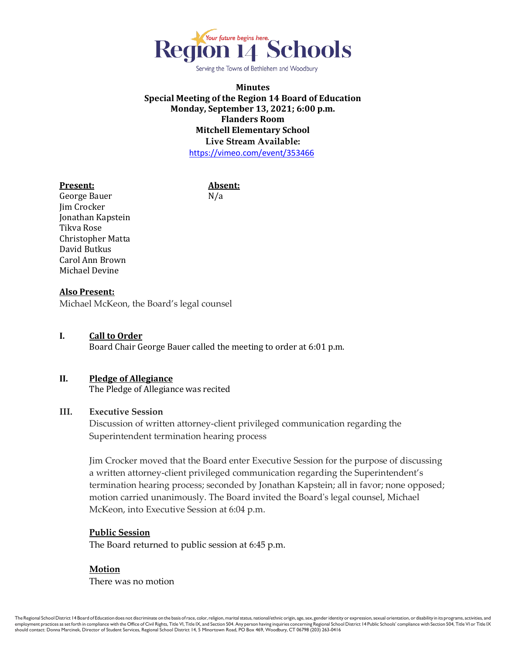

Serving the Towns of Bethlehem and Woodbury

## **Minutes Special Meeting of the Region 14 Board of Education Monday, September 13, 2021; 6:00 p.m. Flanders Room Mitchell Elementary School Live Stream Available:** <https://vimeo.com/event/353466>

#### **Present: Absent:**

George Bauer N/a Jim Crocker Jonathan Kapstein Tikva Rose Christopher Matta David Butkus Carol Ann Brown Michael Devine

# **Also Present:**

Michael McKeon, the Board's legal counsel

**I. Call to Order** Board Chair George Bauer called the meeting to order at 6:01 p.m.

## **II. Pledge of Allegiance**

The Pledge of Allegiance was recited

### **III. Executive Session**

Discussion of written attorney-client privileged communication regarding the Superintendent termination hearing process

Jim Crocker moved that the Board enter Executive Session for the purpose of discussing a written attorney-client privileged communication regarding the Superintendent's termination hearing process; seconded by Jonathan Kapstein; all in favor; none opposed; motion carried unanimously. The Board invited the Board's legal counsel, Michael McKeon, into Executive Session at 6:04 p.m.

### **Public Session**

The Board returned to public session at 6:45 p.m.

### **Motion**

There was no motion